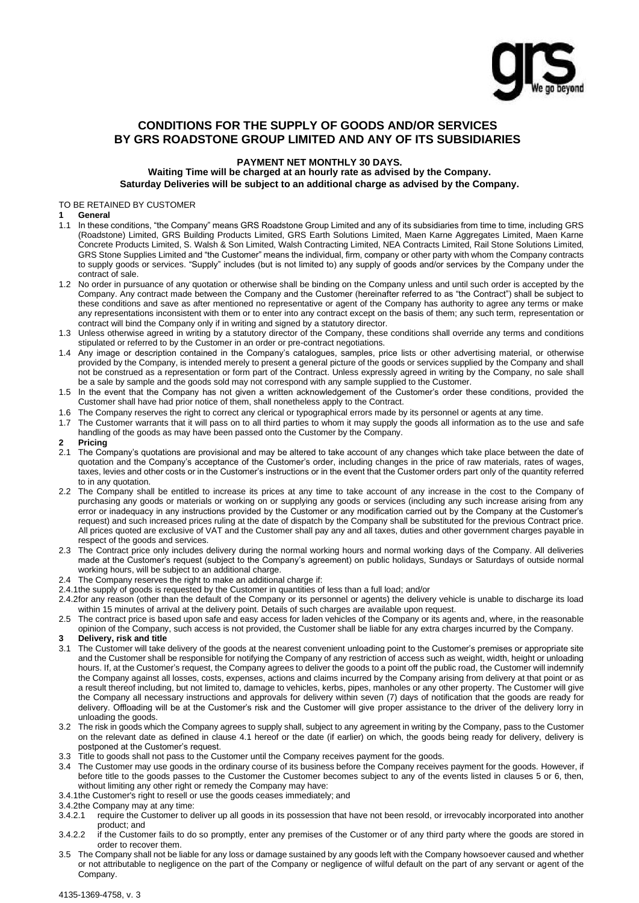

# **CONDITIONS FOR THE SUPPLY OF GOODS AND/OR SERVICES BY GRS ROADSTONE GROUP LIMITED AND ANY OF ITS SUBSIDIARIES**

# **PAYMENT NET MONTHLY 30 DAYS.**

**Waiting Time will be charged at an hourly rate as advised by the Company. Saturday Deliveries will be subject to an additional charge as advised by the Company.**

TO BE RETAINED BY CUSTOMER

#### **1 General**

- 1.1 In these conditions, "the Company" means GRS Roadstone Group Limited and any of its subsidiaries from time to time, including GRS (Roadstone) Limited, GRS Building Products Limited, GRS Earth Solutions Limited, Maen Karne Aggregates Limited, Maen Karne Concrete Products Limited, S. Walsh & Son Limited, Walsh Contracting Limited, NEA Contracts Limited, Rail Stone Solutions Limited, GRS Stone Supplies Limited and "the Customer" means the individual, firm, company or other party with whom the Company contracts to supply goods or services. "Supply" includes (but is not limited to) any supply of goods and/or services by the Company under the contract of sale.
- 1.2 No order in pursuance of any quotation or otherwise shall be binding on the Company unless and until such order is accepted by the Company. Any contract made between the Company and the Customer (hereinafter referred to as "the Contract") shall be subject to these conditions and save as after mentioned no representative or agent of the Company has authority to agree any terms or make any representations inconsistent with them or to enter into any contract except on the basis of them; any such term, representation or contract will bind the Company only if in writing and signed by a statutory director.
- 1.3 Unless otherwise agreed in writing by a statutory director of the Company, these conditions shall override any terms and conditions stipulated or referred to by the Customer in an order or pre-contract negotiations.
- 1.4 Any image or description contained in the Company's catalogues, samples, price lists or other advertising material, or otherwise provided by the Company, is intended merely to present a general picture of the goods or services supplied by the Company and shall not be construed as a representation or form part of the Contract. Unless expressly agreed in writing by the Company, no sale shall be a sale by sample and the goods sold may not correspond with any sample supplied to the Customer.
- 1.5 In the event that the Company has not given a written acknowledgement of the Customer's order these conditions, provided the Customer shall have had prior notice of them, shall nonetheless apply to the Contract.
- 1.6 The Company reserves the right to correct any clerical or typographical errors made by its personnel or agents at any time.
- 1.7 The Customer warrants that it will pass on to all third parties to whom it may supply the goods all information as to the use and safe handling of the goods as may have been passed onto the Customer by the Company.
- **2 Pricing**
- 2.1 The Company's quotations are provisional and may be altered to take account of any changes which take place between the date of quotation and the Company's acceptance of the Customer's order, including changes in the price of raw materials, rates of wages, taxes, levies and other costs or in the Customer's instructions or in the event that the Customer orders part only of the quantity referred to in any quotation.
- 2.2 The Company shall be entitled to increase its prices at any time to take account of any increase in the cost to the Company of purchasing any goods or materials or working on or supplying any goods or services (including any such increase arising from any error or inadequacy in any instructions provided by the Customer or any modification carried out by the Company at the Customer's request) and such increased prices ruling at the date of dispatch by the Company shall be substituted for the previous Contract price. All prices quoted are exclusive of VAT and the Customer shall pay any and all taxes, duties and other government charges payable in respect of the goods and services.
- 2.3 The Contract price only includes delivery during the normal working hours and normal working days of the Company. All deliveries made at the Customer's request (subject to the Company's agreement) on public holidays, Sundays or Saturdays of outside normal working hours, will be subject to an additional charge.
- 2.4 The Company reserves the right to make an additional charge if:
- 2.4.1the supply of goods is requested by the Customer in quantities of less than a full load; and/or
- 2.4.2for any reason (other than the default of the Company or its personnel or agents) the delivery vehicle is unable to discharge its load within 15 minutes of arrival at the delivery point. Details of such charges are available upon request.
- 2.5 The contract price is based upon safe and easy access for laden vehicles of the Company or its agents and, where, in the reasonable opinion of the Company, such access is not provided, the Customer shall be liable for any extra charges incurred by the Company.

# **3 Delivery, risk and title**

- 3.1 The Customer will take delivery of the goods at the nearest convenient unloading point to the Customer's premises or appropriate site and the Customer shall be responsible for notifying the Company of any restriction of access such as weight, width, height or unloading hours. If, at the Customer's request, the Company agrees to deliver the goods to a point off the public road, the Customer will indemnify the Company against all losses, costs, expenses, actions and claims incurred by the Company arising from delivery at that point or as a result thereof including, but not limited to, damage to vehicles, kerbs, pipes, manholes or any other property. The Customer will give the Company all necessary instructions and approvals for delivery within seven (7) days of notification that the goods are ready for delivery. Offloading will be at the Customer's risk and the Customer will give proper assistance to the driver of the delivery lorry in unloading the goods.
- 3.2 The risk in goods which the Company agrees to supply shall, subject to any agreement in writing by the Company, pass to the Customer on the relevant date as defined in clause 4.1 hereof or the date (if earlier) on which, the goods being ready for delivery, delivery is postponed at the Customer's request.
- 3.3 Title to goods shall not pass to the Customer until the Company receives payment for the goods.
- 3.4 The Customer may use goods in the ordinary course of its business before the Company receives payment for the goods. However, if before title to the goods passes to the Customer the Customer becomes subject to any of the events listed in clauses 5 or 6, then, without limiting any other right or remedy the Company may have:
- 3.4.1the Customer's right to resell or use the goods ceases immediately; and
- 3.4.2the Company may at any time:
- 3.4.2.1 require the Customer to deliver up all goods in its possession that have not been resold, or irrevocably incorporated into another product; and
- 3.4.2.2 if the Customer fails to do so promptly, enter any premises of the Customer or of any third party where the goods are stored in order to recover them.
- 3.5 The Company shall not be liable for any loss or damage sustained by any goods left with the Company howsoever caused and whether or not attributable to negligence on the part of the Company or negligence of wilful default on the part of any servant or agent of the Company.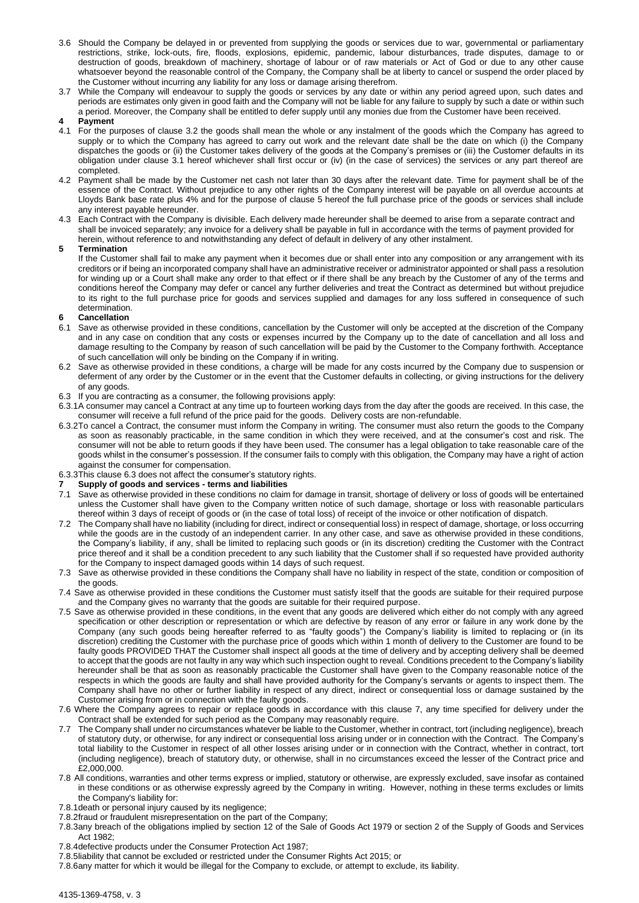- 3.6 Should the Company be delayed in or prevented from supplying the goods or services due to war, governmental or parliamentary restrictions, strike, lock-outs, fire, floods, explosions, epidemic, pandemic, labour disturbances, trade disputes, damage to or destruction of goods, breakdown of machinery, shortage of labour or of raw materials or Act of God or due to any other cause whatsoever beyond the reasonable control of the Company, the Company shall be at liberty to cancel or suspend the order placed by the Customer without incurring any liability for any loss or damage arising therefrom.
- 3.7 While the Company will endeavour to supply the goods or services by any date or within any period agreed upon, such dates and periods are estimates only given in good faith and the Company will not be liable for any failure to supply by such a date or within such a period. Moreover, the Company shall be entitled to defer supply until any monies due from the Customer have been received.

### **4 Payment**

- 4.1 For the purposes of clause 3.2 the goods shall mean the whole or any instalment of the goods which the Company has agreed to supply or to which the Company has agreed to carry out work and the relevant date shall be the date on which (i) the Company dispatches the goods or (ii) the Customer takes delivery of the goods at the Company's premises or (iii) the Customer defaults in its obligation under clause 3.1 hereof whichever shall first occur or (iv) (in the case of services) the services or any part thereof are completed.
- 4.2 Payment shall be made by the Customer net cash not later than 30 days after the relevant date. Time for payment shall be of the essence of the Contract. Without prejudice to any other rights of the Company interest will be payable on all overdue accounts at Lloyds Bank base rate plus 4% and for the purpose of clause 5 hereof the full purchase price of the goods or services shall include any interest payable hereunder.
- 4.3 Each Contract with the Company is divisible. Each delivery made hereunder shall be deemed to arise from a separate contract and shall be invoiced separately; any invoice for a delivery shall be payable in full in accordance with the terms of payment provided for herein, without reference to and notwithstanding any defect of default in delivery of any other instalment.

# **5 Termination**

If the Customer shall fail to make any payment when it becomes due or shall enter into any composition or any arrangement with its creditors or if being an incorporated company shall have an administrative receiver or administrator appointed or shall pass a resolution for winding up or a Court shall make any order to that effect or if there shall be any breach by the Customer of any of the terms and conditions hereof the Company may defer or cancel any further deliveries and treat the Contract as determined but without prejudice to its right to the full purchase price for goods and services supplied and damages for any loss suffered in consequence of such determination.

# **6 Cancellation**

- 6.1 Save as otherwise provided in these conditions, cancellation by the Customer will only be accepted at the discretion of the Company and in any case on condition that any costs or expenses incurred by the Company up to the date of cancellation and all loss and damage resulting to the Company by reason of such cancellation will be paid by the Customer to the Company forthwith. Acceptance of such cancellation will only be binding on the Company if in writing.
- 6.2 Save as otherwise provided in these conditions, a charge will be made for any costs incurred by the Company due to suspension or deferment of any order by the Customer or in the event that the Customer defaults in collecting, or giving instructions for the delivery of any goods.
- 6.3 If you are contracting as a consumer, the following provisions apply:
- 6.3.1A consumer may cancel a Contract at any time up to fourteen working days from the day after the goods are received. In this case, the consumer will receive a full refund of the price paid for the goods. Delivery costs are non-refundable.
- 6.3.2To cancel a Contract, the consumer must inform the Company in writing. The consumer must also return the goods to the Company as soon as reasonably practicable, in the same condition in which they were received, and at the consumer's cost and risk. The consumer will not be able to return goods if they have been used. The consumer has a legal obligation to take reasonable care of the goods whilst in the consumer's possession. If the consumer fails to comply with this obligation, the Company may have a right of action against the consumer for compensation.
- 6.3.3This clause 6.3 does not affect the consumer's statutory rights.
- **7 Supply of goods and services - terms and liabilities**
- 7.1 Save as otherwise provided in these conditions no claim for damage in transit, shortage of delivery or loss of goods will be entertained unless the Customer shall have given to the Company written notice of such damage, shortage or loss with reasonable particulars thereof within 3 days of receipt of goods or (in the case of total loss) of receipt of the invoice or other notification of dispatch.
- 7.2 The Company shall have no liability (including for direct, indirect or consequential loss) in respect of damage, shortage, or loss occurring while the goods are in the custody of an independent carrier. In any other case, and save as otherwise provided in these conditions, the Company's liability, if any, shall be limited to replacing such goods or (in its discretion) crediting the Customer with the Contract price thereof and it shall be a condition precedent to any such liability that the Customer shall if so requested have provided authority for the Company to inspect damaged goods within 14 days of such request.
- 7.3 Save as otherwise provided in these conditions the Company shall have no liability in respect of the state, condition or composition of the goods.
- 7.4 Save as otherwise provided in these conditions the Customer must satisfy itself that the goods are suitable for their required purpose and the Company gives no warranty that the goods are suitable for their required purpose.
- 7.5 Save as otherwise provided in these conditions, in the event that any goods are delivered which either do not comply with any agreed specification or other description or representation or which are defective by reason of any error or failure in any work done by the Company (any such goods being hereafter referred to as "faulty goods") the Company's liability is limited to replacing or (in its discretion) crediting the Customer with the purchase price of goods which within 1 month of delivery to the Customer are found to be faulty goods PROVIDED THAT the Customer shall inspect all goods at the time of delivery and by accepting delivery shall be deemed to accept that the goods are not faulty in any way which such inspection ought to reveal. Conditions precedent to the Company's liability hereunder shall be that as soon as reasonably practicable the Customer shall have given to the Company reasonable notice of the respects in which the goods are faulty and shall have provided authority for the Company's servants or agents to inspect them. The Company shall have no other or further liability in respect of any direct, indirect or consequential loss or damage sustained by the Customer arising from or in connection with the faulty goods.
- 7.6 Where the Company agrees to repair or replace goods in accordance with this clause 7, any time specified for delivery under the Contract shall be extended for such period as the Company may reasonably require.
- 7.7 The Company shall under no circumstances whatever be liable to the Customer, whether in contract, tort (including negligence), breach of statutory duty, or otherwise, for any indirect or consequential loss arising under or in connection with the Contract. The Company's total liability to the Customer in respect of all other losses arising under or in connection with the Contract, whether in contract, tort (including negligence), breach of statutory duty, or otherwise, shall in no circumstances exceed the lesser of the Contract price and  $f2,000,000$ .
- 7.8 All conditions, warranties and other terms express or implied, statutory or otherwise, are expressly excluded, save insofar as contained in these conditions or as otherwise expressly agreed by the Company in writing. However, nothing in these terms excludes or limits the Company's liability for:
- 7.8.1death or personal injury caused by its negligence;
- 7.8.2fraud or fraudulent misrepresentation on the part of the Company;
- 7.8.3any breach of the obligations implied by section 12 of the Sale of Goods Act 1979 or section 2 of the Supply of Goods and Services Act 1982;
- 7.8.4defective products under the Consumer Protection Act 1987;
- 7.8.5liability that cannot be excluded or restricted under the Consumer Rights Act 2015; or
- 7.8.6any matter for which it would be illegal for the Company to exclude, or attempt to exclude, its liability.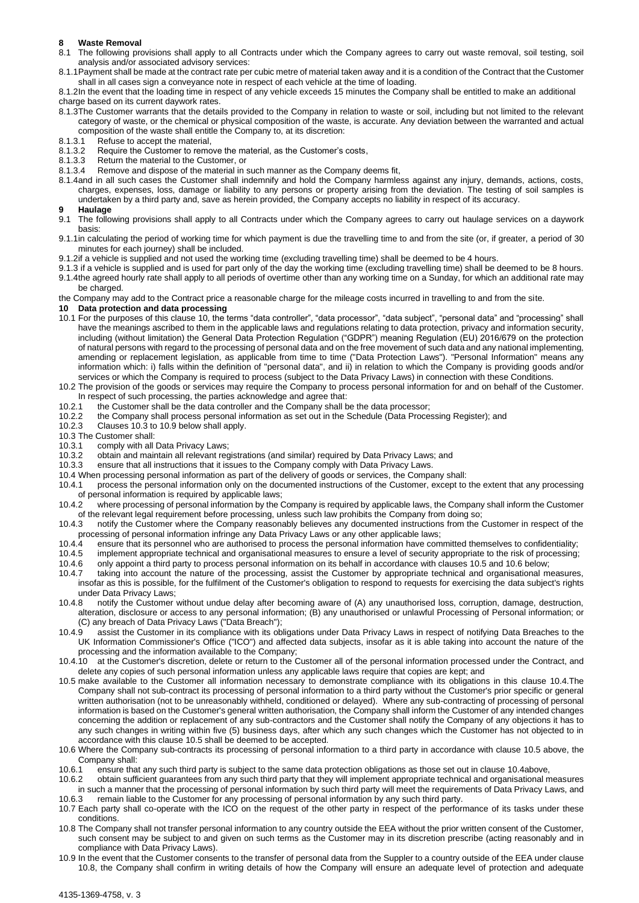# **8 Waste Removal**

- 8.1 The following provisions shall apply to all Contracts under which the Company agrees to carry out waste removal, soil testing, soil analysis and/or associated advisory services:
- 8.1.1Payment shall be made at the contract rate per cubic metre of material taken away and it is a condition of the Contract that the Customer shall in all cases sign a conveyance note in respect of each vehicle at the time of loading.
- 8.1.2In the event that the loading time in respect of any vehicle exceeds 15 minutes the Company shall be entitled to make an additional charge based on its current daywork rates.
- 8.1.3The Customer warrants that the details provided to the Company in relation to waste or soil, including but not limited to the relevant category of waste, or the chemical or physical composition of the waste, is accurate. Any deviation between the warranted and actual composition of the waste shall entitle the Company to, at its discretion:
	-
- 8.1.3.1 Refuse to accept the material,<br>8.1.3.2 Require the Customer to remo 8.1.3.2 Require the Customer to remove the material, as the Customer's costs, 8.1.3.3 Return the material to the Customer, or
- 8.1.3.3 Return the material to the Customer, or
- 8.1.3.4 Remove and dispose of the material in such manner as the Company deems fit,
- 8.1.4and in all such cases the Customer shall indemnify and hold the Company harmless against any injury, demands, actions, costs, charges, expenses, loss, damage or liability to any persons or property arising from the deviation. The testing of soil samples is undertaken by a third party and, save as herein provided, the Company accepts no liability in respect of its accuracy.

#### **9 Haulage**

- 9.1 The following provisions shall apply to all Contracts under which the Company agrees to carry out haulage services on a daywork basis:
- 9.1.1in calculating the period of working time for which payment is due the travelling time to and from the site (or, if greater, a period of 30 minutes for each journey) shall be included.
- 9.1.2if a vehicle is supplied and not used the working time (excluding travelling time) shall be deemed to be 4 hours.
- 9.1.3 if a vehicle is supplied and is used for part only of the day the working time (excluding travelling time) shall be deemed to be 8 hours. 9.1.4the agreed hourly rate shall apply to all periods of overtime other than any working time on a Sunday, for which an additional rate may be charged.
- the Company may add to the Contract price a reasonable charge for the mileage costs incurred in travelling to and from the site.

# **10 Data protection and data processing**

- 10.1 For the purposes of this clause 10, the terms "data controller", "data processor", "data subject", "personal data" and "processing" shall have the meanings ascribed to them in the applicable laws and regulations relating to data protection, privacy and information security, including (without limitation) the General Data Protection Regulation ("GDPR") meaning Regulation (EU) 2016/679 on the protection of natural persons with regard to the processing of personal data and on the free movement of such data and any national implementing, amending or replacement legislation, as applicable from time to time ("Data Protection Laws"). "Personal Information" means any information which: i) falls within the definition of "personal data", and ii) in relation to which the Company is providing goods and/or services or which the Company is required to process (subject to the Data Privacy Laws) in connection with these Conditions.
- 10.2 The provision of the goods or services may require the Company to process personal information for and on behalf of the Customer. In respect of such processing, the parties acknowledge and agree that:<br>10.2.1 the Customer shall be the data controller and the Company shall b
- 10.2.1 the Customer shall be the data controller and the Company shall be the data processor;<br>10.2.2 the Company shall process personal information as set out in the Schedule (Data Proce
- the Company shall process personal information as set out in the Schedule (Data Processing Register); and
- 10.2.3 Clauses 10.3 to 10.9 below shall apply.
- 10.3 The Customer shall:
- 10.3.1 comply with all Data Privacy Laws;
- 10.3.2 obtain and maintain all relevant registrations (and similar) required by Data Privacy Laws; and
- 10.3.3 ensure that all instructions that it issues to the Company comply with Data Privacy Laws.
- 10.4 When processing personal information as part of the delivery of goods or services, the Company shall:
- 10.4.1 process the personal information only on the documented instructions of the Customer, except to the extent that any processing of personal information is required by applicable laws;
- 10.4.2 where processing of personal information by the Company is required by applicable laws, the Company shall inform the Customer of the relevant legal requirement before processing, unless such law prohibits the Company from doing so;
- 10.4.3 notify the Customer where the Company reasonably believes any documented instructions from the Customer in respect of the processing of personal information infringe any Data Privacy Laws or any other applicable laws;
- 10.4.4 ensure that its personnel who are authorised to process the personal information have committed themselves to confidentiality;
- 10.4.5 implement appropriate technical and organisational measures to ensure a level of security appropriate to the risk of processing;
- 10.4.6 only appoint a third party to process personal information on its behalf in accordance with clauses 10.5 and 10.6 below;
- 10.4.7 taking into account the nature of the processing, assist the Customer by appropriate technical and organisational measures, insofar as this is possible, for the fulfilment of the Customer's obligation to respond to requests for exercising the data subject's rights
- under Data Privacy Laws;<br>10.4.8 notify the Customer 10.4.8 notify the Customer without undue delay after becoming aware of (A) any unauthorised loss, corruption, damage, destruction, alteration, disclosure or access to any personal information; (B) any unauthorised or unlawful Processing of Personal information; or (C) any breach of Data Privacy Laws ("Data Breach");
- 10.4.9 assist the Customer in its compliance with its obligations under Data Privacy Laws in respect of notifying Data Breaches to the UK Information Commissioner's Office ("ICO") and affected data subjects, insofar as it is able taking into account the nature of the processing and the information available to the Company;
- 10.4.10 at the Customer's discretion, delete or return to the Customer all of the personal information processed under the Contract, and delete any copies of such personal information unless any applicable laws require that copies are kept; and
- 10.5 make available to the Customer all information necessary to demonstrate compliance with its obligations in this clause 10.4.The Company shall not sub-contract its processing of personal information to a third party without the Customer's prior specific or general written authorisation (not to be unreasonably withheld, conditioned or delayed). Where any sub-contracting of processing of personal information is based on the Customer's general written authorisation, the Company shall inform the Customer of any intended changes concerning the addition or replacement of any sub-contractors and the Customer shall notify the Company of any objections it has to any such changes in writing within five (5) business days, after which any such changes which the Customer has not objected to in accordance with this clause 10.5 shall be deemed to be accepted.
- 10.6 Where the Company sub-contracts its processing of personal information to a third party in accordance with clause 10.5 above, the Company shall:
- 10.6.1 ensure that any such third party is subject to the same data protection obligations as those set out in clause 10.4above,
- 10.6.2 obtain sufficient guarantees from any such third party that they will implement appropriate technical and organisational measures in such a manner that the processing of personal information by such third party will meet the requirements of Data Privacy Laws, and 10.6.3 remain liable to the Customer for any processing of personal information by any such third party.
- 10.7 Each party shall co-operate with the ICO on the request of the other party in respect of the performance of its tasks under these conditions.
- 10.8 The Company shall not transfer personal information to any country outside the EEA without the prior written consent of the Customer, such consent may be subject to and given on such terms as the Customer may in its discretion prescribe (acting reasonably and in compliance with Data Privacy Laws).
- 10.9 In the event that the Customer consents to the transfer of personal data from the Suppler to a country outside of the EEA under clause 10.8, the Company shall confirm in writing details of how the Company will ensure an adequate level of protection and adequate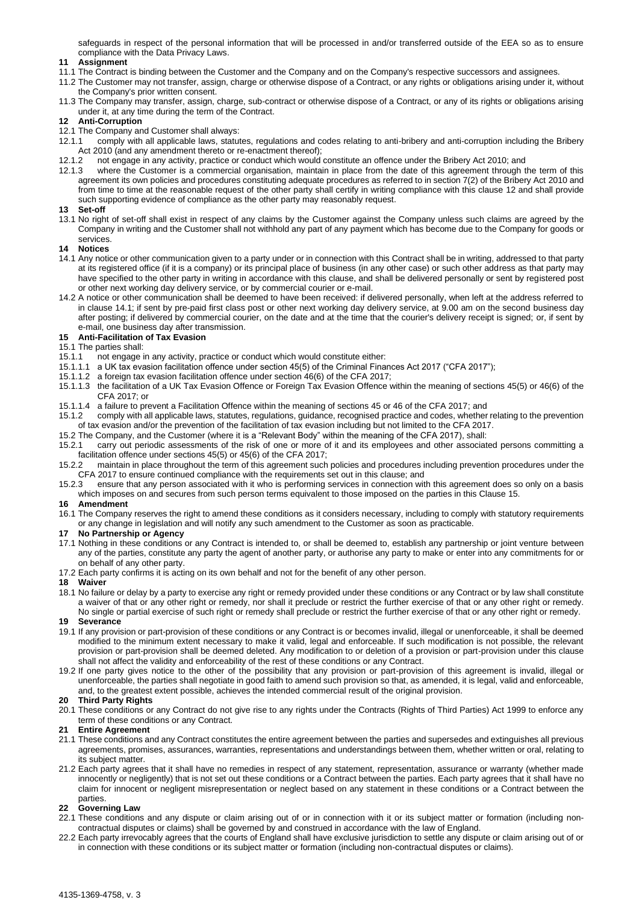safeguards in respect of the personal information that will be processed in and/or transferred outside of the EEA so as to ensure compliance with the Data Privacy Laws.

### **11 Assignment**

- 11.1 The Contract is binding between the Customer and the Company and on the Company's respective successors and assignees.
- 11.2 The Customer may not transfer, assign, charge or otherwise dispose of a Contract, or any rights or obligations arising under it, without the Company's prior written consent.
- 11.3 The Company may transfer, assign, charge, sub-contract or otherwise dispose of a Contract, or any of its rights or obligations arising under it, at any time during the term of the Contract.

#### **12 Anti-Corruption**

- 12.1 The Company and Customer shall always:
- 12.1.1 comply with all applicable laws, statutes, regulations and codes relating to anti-bribery and anti-corruption including the Bribery
- Act 2010 (and any amendment thereto or re-enactment thereof);<br>12.1.2 not engage in any activity, practice or conduct which would 12.1.2 not engage in any activity, practice or conduct which would constitute an offence under the Bribery Act 2010; and
- 12.1.3 where the Customer is a commercial organisation, maintain in place from the date of this agreement through the term of this agreement its own policies and procedures constituting adequate procedures as referred to in section 7(2) of the Bribery Act 2010 and from time to time at the reasonable request of the other party shall certify in writing compliance with this clause 12 and shall provide such supporting evidence of compliance as the other party may reasonably request.

#### **13 Set-off**

13.1 No right of set-off shall exist in respect of any claims by the Customer against the Company unless such claims are agreed by the Company in writing and the Customer shall not withhold any part of any payment which has become due to the Company for goods or services.

#### **14 Notices**

- 14.1 Any notice or other communication given to a party under or in connection with this Contract shall be in writing, addressed to that party at its registered office (if it is a company) or its principal place of business (in any other case) or such other address as that party may have specified to the other party in writing in accordance with this clause, and shall be delivered personally or sent by registered post or other next working day delivery service, or by commercial courier or e-mail.
- 14.2 A notice or other communication shall be deemed to have been received: if delivered personally, when left at the address referred to in clause 14.1; if sent by pre-paid first class post or other next working day delivery service, at 9.00 am on the second business day after posting; if delivered by commercial courier, on the date and at the time that the courier's delivery receipt is signed; or, if sent by e-mail, one business day after transmission.

# **15 Anti-Facilitation of Tax Evasion**

# 15.1 The parties shall:

- 15.1.1 not engage in any activity, practice or conduct which would constitute either:
- 15.1.1.1 a UK tax evasion facilitation offence under section 45(5) of the Criminal Finances Act 2017 ("CFA 2017");
- 15.1.1.2 a foreign tax evasion facilitation offence under section 46(6) of the CFA 2017;
- 15.1.1.3 the facilitation of a UK Tax Evasion Offence or Foreign Tax Evasion Offence within the meaning of sections 45(5) or 46(6) of the CFA 2017; or
- 15.1.1.4 a failure to prevent a Facilitation Offence within the meaning of sections 45 or 46 of the CFA 2017; and
- 15.1.2 comply with all applicable laws, statutes, regulations, guidance, recognised practice and codes, whether relating to the prevention of tax evasion and/or the prevention of the facilitation of tax evasion including but not limited to the CFA 2017.
- 15.2 The Company, and the Customer (where it is a "Relevant Body" within the meaning of the CFA 2017), shall:
- 15.2.1 carry out periodic assessments of the risk of one or more of it and its employees and other associated persons committing a facilitation offence under sections 45(5) or 45(6) of the CFA 2017;
- 15.2.2 maintain in place throughout the term of this agreement such policies and procedures including prevention procedures under the CFA 2017 to ensure continued compliance with the requirements set out in this clause; and<br>15.2.3 ensure that any person associated with it who is performing services in connection wit
- ensure that any person associated with it who is performing services in connection with this agreement does so only on a basis which imposes on and secures from such person terms equivalent to those imposed on the parties in this Clause 15.

#### **16 Amendment**

16.1 The Company reserves the right to amend these conditions as it considers necessary, including to comply with statutory requirements or any change in legislation and will notify any such amendment to the Customer as soon as practicable.

#### **17 No Partnership or Agency**

- 17.1 Nothing in these conditions or any Contract is intended to, or shall be deemed to, establish any partnership or joint venture between any of the parties, constitute any party the agent of another party, or authorise any party to make or enter into any commitments for or on behalf of any other party.
- 17.2 Each party confirms it is acting on its own behalf and not for the benefit of any other person.

#### **18 Waiver**

18.1 No failure or delay by a party to exercise any right or remedy provided under these conditions or any Contract or by law shall constitute a waiver of that or any other right or remedy, nor shall it preclude or restrict the further exercise of that or any other right or remedy. No single or partial exercise of such right or remedy shall preclude or restrict the further exercise of that or any other right or remedy.

### **19 Severance**

- 19.1 If any provision or part-provision of these conditions or any Contract is or becomes invalid, illegal or unenforceable, it shall be deemed modified to the minimum extent necessary to make it valid, legal and enforceable. If such modification is not possible, the relevant provision or part-provision shall be deemed deleted. Any modification to or deletion of a provision or part-provision under this clause shall not affect the validity and enforceability of the rest of these conditions or any Contract.
- 19.2 If one party gives notice to the other of the possibility that any provision or part-provision of this agreement is invalid, illegal or unenforceable, the parties shall negotiate in good faith to amend such provision so that, as amended, it is legal, valid and enforceable, and, to the greatest extent possible, achieves the intended commercial result of the original provision.

#### **20 Third Party Rights**

20.1 These conditions or any Contract do not give rise to any rights under the Contracts (Rights of Third Parties) Act 1999 to enforce any term of these conditions or any Contract.

### **21 Entire Agreement**

- 21.1 These conditions and any Contract constitutes the entire agreement between the parties and supersedes and extinguishes all previous agreements, promises, assurances, warranties, representations and understandings between them, whether written or oral, relating to its subject matter.
- 21.2 Each party agrees that it shall have no remedies in respect of any statement, representation, assurance or warranty (whether made innocently or negligently) that is not set out these conditions or a Contract between the parties. Each party agrees that it shall have no claim for innocent or negligent misrepresentation or neglect based on any statement in these conditions or a Contract between the parties.

### **22 Governing Law**

- 22.1 These conditions and any dispute or claim arising out of or in connection with it or its subject matter or formation (including noncontractual disputes or claims) shall be governed by and construed in accordance with the law of England.
- 22.2 Each party irrevocably agrees that the courts of England shall have exclusive jurisdiction to settle any dispute or claim arising out of or in connection with these conditions or its subject matter or formation (including non-contractual disputes or claims).